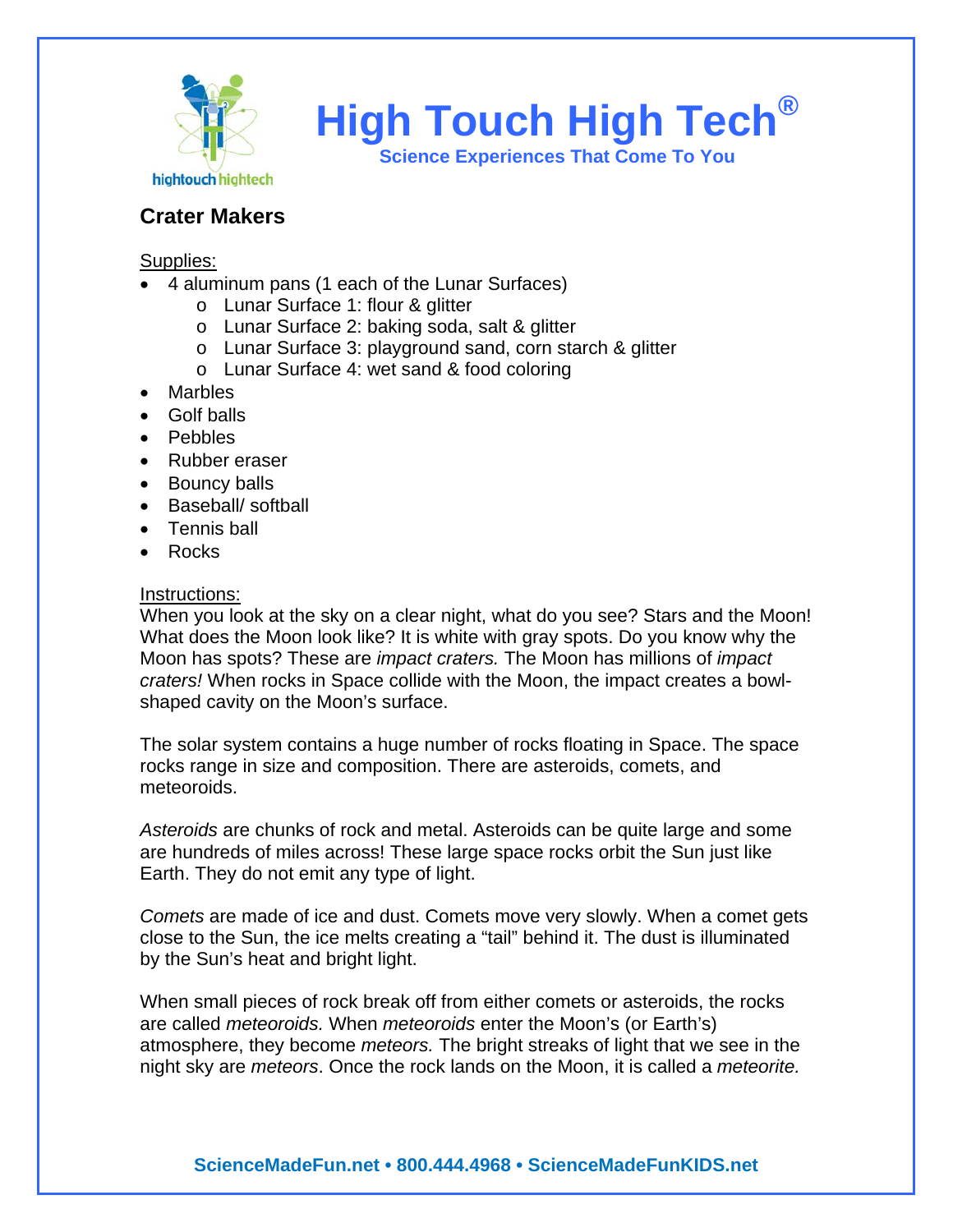

**High Touch High Tech®**

**Science Experiences That Come To You** 

## **Crater Makers**

Supplies:

- 4 aluminum pans (1 each of the Lunar Surfaces)
	- o Lunar Surface 1: flour & glitter
	- o Lunar Surface 2: baking soda, salt & glitter
	- o Lunar Surface 3: playground sand, corn starch & glitter
	- o Lunar Surface 4: wet sand & food coloring
- Marbles
- Golf balls
- Pebbles
- Rubber eraser
- Bouncy balls
- Baseball/ softball
- Tennis ball
- Rocks

## Instructions:

When you look at the sky on a clear night, what do you see? Stars and the Moon! What does the Moon look like? It is white with gray spots. Do you know why the Moon has spots? These are *impact craters.* The Moon has millions of *impact craters!* When rocks in Space collide with the Moon, the impact creates a bowlshaped cavity on the Moon's surface.

The solar system contains a huge number of rocks floating in Space. The space rocks range in size and composition. There are asteroids, comets, and meteoroids.

*Asteroids* are chunks of rock and metal. Asteroids can be quite large and some are hundreds of miles across! These large space rocks orbit the Sun just like Earth. They do not emit any type of light.

*Comets* are made of ice and dust. Comets move very slowly. When a comet gets close to the Sun, the ice melts creating a "tail" behind it. The dust is illuminated by the Sun's heat and bright light.

When small pieces of rock break off from either comets or asteroids, the rocks are called *meteoroids.* When *meteoroids* enter the Moon's (or Earth's) atmosphere, they become *meteors.* The bright streaks of light that we see in the night sky are *meteors*. Once the rock lands on the Moon, it is called a *meteorite.*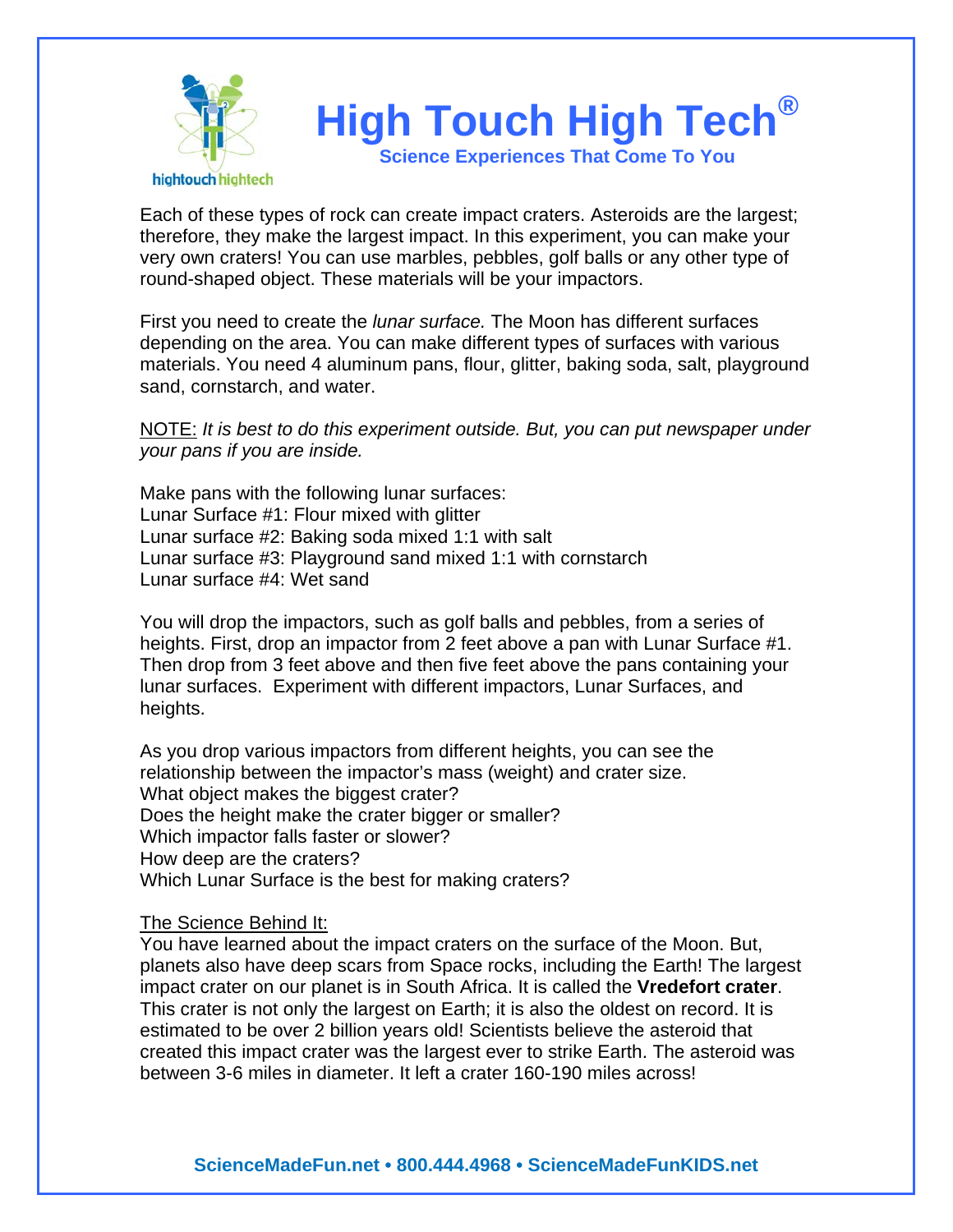

Each of these types of rock can create impact craters. Asteroids are the largest; therefore, they make the largest impact. In this experiment, you can make your very own craters! You can use marbles, pebbles, golf balls or any other type of round-shaped object. These materials will be your impactors.

First you need to create the *lunar surface.* The Moon has different surfaces depending on the area. You can make different types of surfaces with various materials. You need 4 aluminum pans, flour, glitter, baking soda, salt, playground sand, cornstarch, and water.

NOTE: *It is best to do this experiment outside. But, you can put newspaper under your pans if you are inside.* 

Make pans with the following lunar surfaces: Lunar Surface #1: Flour mixed with glitter Lunar surface #2: Baking soda mixed 1:1 with salt Lunar surface #3: Playground sand mixed 1:1 with cornstarch Lunar surface #4: Wet sand

You will drop the impactors, such as golf balls and pebbles, from a series of heights. First, drop an impactor from 2 feet above a pan with Lunar Surface #1. Then drop from 3 feet above and then five feet above the pans containing your lunar surfaces. Experiment with different impactors, Lunar Surfaces, and heights.

As you drop various impactors from different heights, you can see the relationship between the impactor's mass (weight) and crater size. What object makes the biggest crater? Does the height make the crater bigger or smaller? Which impactor falls faster or slower? How deep are the craters? Which Lunar Surface is the best for making craters?

## The Science Behind It:

You have learned about the impact craters on the surface of the Moon. But, planets also have deep scars from Space rocks, including the Earth! The largest impact crater on our planet is in South Africa. It is called the **Vredefort crater**. This crater is not only the largest on Earth; it is also the oldest on record. It is estimated to be over 2 billion years old! Scientists believe the asteroid that created this impact crater was the largest ever to strike Earth. The asteroid was between 3-6 miles in diameter. It left a crater 160-190 miles across!